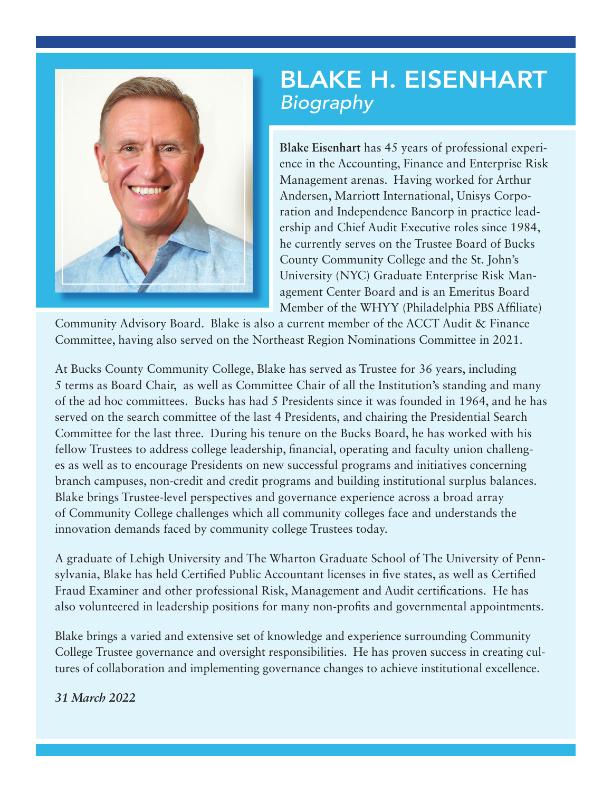

## BLAKE H. EISENHART *Biography*

**Blake Eisenhart** has 45 years of professional experience in the Accounting, Finance and Enterprise Risk Management arenas. Having worked for Arthur Andersen, Marriott International, Unisys Corporation and Independence Bancorp in practice leadership and Chief Audit Executive roles since 1984, he currently serves on the Trustee Board of Bucks County Community College and the St. John's University (NYC) Graduate Enterprise Risk Management Center Board and is an Emeritus Board Member of the WHYY (Philadelphia PBS Affiliate)

Community Advisory Board. Blake is also a current member of the ACCT Audit & Finance Committee, having also served on the Northeast Region Nominations Committee in 2021.

At Bucks County Community College, Blake has served as Trustee for 36 years, including 5 terms as Board Chair, as well as Committee Chair of all the Institution's standing and many of the ad hoc committees. Bucks has had 5 Presidents since it was founded in 1964, and he has served on the search committee of the last 4 Presidents, and chairing the Presidential Search Committee for the last three. During his tenure on the Bucks Board, he has worked with his fellow Trustees to address college leadership, financial, operating and faculty union challenges as well as to encourage Presidents on new successful programs and initiatives concerning branch campuses, non-credit and credit programs and building institutional surplus balances. Blake brings Trustee-level perspectives and governance experience across a broad array of Community College challenges which all community colleges face and understands the innovation demands faced by community college Trustees today.

A graduate of Lehigh University and The Wharton Graduate School of The University of Pennsylvania, Blake has held Certified Public Accountant licenses in five states, as well as Certified Fraud Examiner and other professional Risk, Management and Audit certifications. He has also volunteered in leadership positions for many non-profits and governmental appointments.

Blake brings a varied and extensive set of knowledge and experience surrounding Community College Trustee governance and oversight responsibilities. He has proven success in creating cultures of collaboration and implementing governance changes to achieve institutional excellence.

## *31 March 2022*